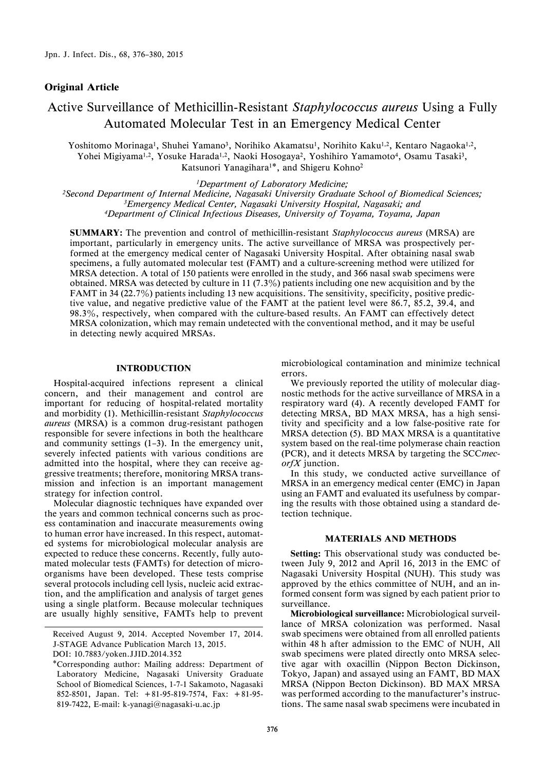## Original Article

# Active Surveillance of Methicillin-Resistant Staphylococcus aureus Using a Fully Automated Molecular Test in an Emergency Medical Center

Yoshitomo Morinaga<sup>1</sup>, Shuhei Yamano<sup>3</sup>, Norihiko Akamatsu<sup>1</sup>, Norihito Kaku<sup>1,2</sup>, Kentaro Nagaoka<sup>1,2</sup>, Yohei Migiyama1,2, Yosuke Harada1,2, Naoki Hosogaya2, Yoshihiro Yamamoto4, Osamu Tasaki3, Katsunori Yanagihara1\*, and Shigeru Kohno2

1Department of Laboratory Medicine;

<sup>2</sup> Second Department of Internal Medicine, Nagasaki University Graduate School of Biomedical Sciences; <sup>3</sup>Emergency Medical Center, Nagasaki University Hospital, Nagasaki; and 4Department of Clinical Infectious Diseases, University of Toyama, Toyama, Japan

SUMMARY: The prevention and control of methicillin-resistant Staphylococcus aureus (MRSA) are important, particularly in emergency units. The active surveillance of MRSA was prospectively performed at the emergency medical center of Nagasaki University Hospital. After obtaining nasal swab specimens, a fully automated molecular test (FAMT) and a culture-screening method were utilized for MRSA detection. A total of 150 patients were enrolled in the study, and 366 nasal swab specimens were obtained. MRSA was detected by culture in 11 (7.3%) patients including one new acquisition and by the FAMT in 34 (22.7%) patients including 13 new acquisitions. The sensitivity, specificity, positive predictive value, and negative predictive value of the FAMT at the patient level were 86.7, 85.2, 39.4, and 98.3%, respectively, when compared with the culture-based results. An FAMT can effectively detect MRSA colonization, which may remain undetected with the conventional method, and it may be useful in detecting newly acquired MRSAs.

## INTRODUCTION

Hospital-acquired infections represent a clinical concern, and their management and control are important for reducing of hospital-related mortality and morbidity (1). Methicillin-resistant Staphylococcus aureus (MRSA) is a common drug-resistant pathogen responsible for severe infections in both the healthcare and community settings  $(1-3)$ . In the emergency unit, severely infected patients with various conditions are admitted into the hospital, where they can receive aggressive treatments; therefore, monitoring MRSA transmission and infection is an important management strategy for infection control.

Molecular diagnostic techniques have expanded over the years and common technical concerns such as process contamination and inaccurate measurements owing to human error have increased. In this respect, automated systems for microbiological molecular analysis are expected to reduce these concerns. Recently, fully automated molecular tests (FAMTs) for detection of microorganisms have been developed. These tests comprise several protocols including cell lysis, nucleic acid extraction, and the amplification and analysis of target genes using a single platform. Because molecular techniques are usually highly sensitive, FAMTs help to prevent

microbiological contamination and minimize technical errors.

We previously reported the utility of molecular diagnostic methods for the active surveillance of MRSA in a respiratory ward (4). A recently developed FAMT for detecting MRSA, BD MAX MRSA, has a high sensitivity and specificity and a low false-positive rate for MRSA detection (5). BD MAX MRSA is a quantitative system based on the real-time polymerase chain reaction (PCR), and it detects MRSA by targeting the SCCmecorfX junction.

In this study, we conducted active surveillance of MRSA in an emergency medical center (EMC) in Japan using an FAMT and evaluated its usefulness by comparing the results with those obtained using a standard detection technique.

#### MATERIALS AND METHODS

Setting: This observational study was conducted between July 9, 2012 and April 16, 2013 in the EMC of Nagasaki University Hospital (NUH). This study was approved by the ethics committee of NUH, and an informed consent form was signed by each patient prior to surveillance.

Microbiological surveillance: Microbiological surveillance of MRSA colonization was performed. Nasal swab specimens were obtained from all enrolled patients within 48 h after admission to the EMC of NUH, All swab specimens were plated directly onto MRSA selective agar with oxacillin (Nippon Becton Dickinson, Tokyo, Japan) and assayed using an FAMT, BD MAX MRSA (Nippon Becton Dickinson). BD MAX MRSA was performed according to the manufacturer's instructions. The same nasal swab specimens were incubated in

Received August 9, 2014. Accepted November 17, 2014. J-STAGE Advance Publication March 13, 2015. DOI: 10.7883/yoken.JJID.2014.352

<sup>\*</sup>Corresponding author: Mailing address: Department of Laboratory Medicine, Nagasaki University Graduate School of Biomedical Sciences, 1-7-1 Sakamoto, Nagasaki 852-8501, Japan. Tel: +81-95-819-7574, Fax: +81-95- 819-7422, E-mail: k-yanagi@nagasaki-u.ac.jp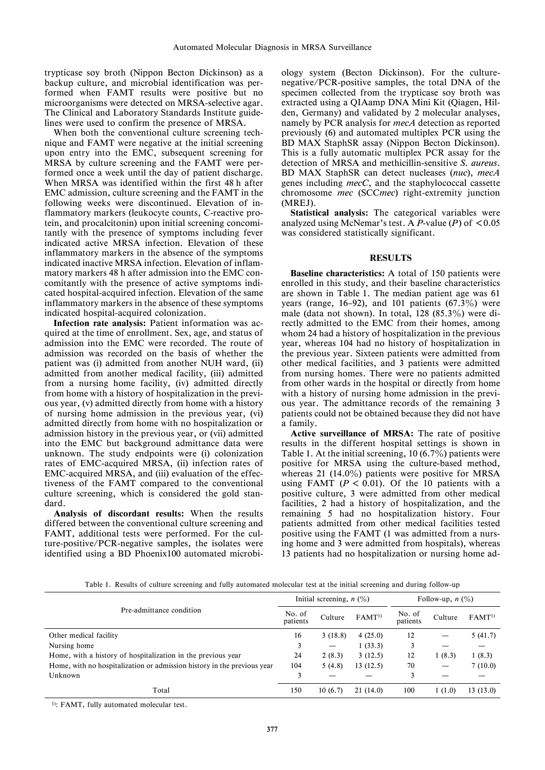trypticase soy broth (Nippon Becton Dickinson) as a backup culture, and microbial identification was performed when FAMT results were positive but no microorganisms were detected on MRSA-selective agar. The Clinical and Laboratory Standards Institute guidelines were used to confirm the presence of MRSA.

When both the conventional culture screening technique and FAMT were negative at the initial screening upon entry into the EMC, subsequent screening for MRSA by culture screening and the FAMT were performed once a week until the day of patient discharge. When MRSA was identified within the first 48 h after EMC admission, culture screening and the FAMT in the following weeks were discontinued. Elevation of inflammatory markers (leukocyte counts, C-reactive protein, and procalcitonin) upon initial screening concomitantly with the presence of symptoms including fever indicated active MRSA infection. Elevation of these inflammatory markers in the absence of the symptoms indicated inactive MRSA infection. Elevation of inflammatory markers 48 h after admission into the EMC concomitantly with the presence of active symptoms indicated hospital-acquired infection. Elevation of the same inflammatory markers in the absence of these symptoms indicated hospital-acquired colonization.

Infection rate analysis: Patient information was acquired at the time of enrollment. Sex, age, and status of admission into the EMC were recorded. The route of admission was recorded on the basis of whether the patient was (i) admitted from another NUH ward, (ii) admitted from another medical facility, (iii) admitted from a nursing home facility, (iv) admitted directly from home with a history of hospitalization in the previous year, (v) admitted directly from home with a history of nursing home admission in the previous year, (vi) admitted directly from home with no hospitalization or admission history in the previous year, or (vii) admitted into the EMC but background admittance data were unknown. The study endpoints were (i) colonization rates of EMC-acquired MRSA, (ii) infection rates of EMC-acquired MRSA, and (iii) evaluation of the effectiveness of the FAMT compared to the conventional culture screening, which is considered the gold standard.

Analysis of discordant results: When the results differed between the conventional culture screening and FAMT, additional tests were performed. For the culture-positive/PCR-negative samples, the isolates were identified using a BD Phoenix100 automated microbiology system (Becton Dickinson). For the culturenegative/PCR-positive samples, the total DNA of the specimen collected from the trypticase soy broth was extracted using a QIAamp DNA Mini Kit (Qiagen, Hilden, Germany) and validated by 2 molecular analyses, namely by PCR analysis for *mecA* detection as reported previously (6) and automated multiplex PCR using the BD MAX StaphSR assay (Nippon Becton Dickinson). This is a fully automatic multiplex PCR assay for the detection of MRSA and methicillin-sensitive S. aureus. BD MAX StaphSR can detect nucleases (nuc), mecA genes including mecC, and the staphylococcal cassette chromosome mec (SCCmec) right-extremity junction (MREJ).

Statistical analysis: The categorical variables were analyzed using McNemar's test. A P-value (P) of  $\leq 0.05$ was considered statistically significant.

### RESULTS

Baseline characteristics: A total of 150 patients were enrolled in this study, and their baseline characteristics are shown in Table 1. The median patient age was 61 years (range, 16–92), and 101 patients  $(67.3\%)$  were male (data not shown). In total,  $128$  (85.3%) were directly admitted to the EMC from their homes, among whom 24 had a history of hospitalization in the previous year, whereas 104 had no history of hospitalization in the previous year. Sixteen patients were admitted from other medical facilities, and 3 patients were admitted from nursing homes. There were no patients admitted from other wards in the hospital or directly from home with a history of nursing home admission in the previous year. The admittance records of the remaining 3 patients could not be obtained because they did not have a family.

Active surveillance of MRSA: The rate of positive results in the different hospital settings is shown in Table 1. At the initial screening, 10  $(6.7\%)$  patients were positive for MRSA using the culture-based method, whereas 21 (14.0%) patients were positive for MRSA using FAMT ( $P < 0.01$ ). Of the 10 patients with a positive culture, 3 were admitted from other medical facilities, 2 had a history of hospitalization, and the remaining 5 had no hospitalization history. Four patients admitted from other medical facilities tested positive using the FAMT (1 was admitted from a nursing home and 3 were admitted from hospitals), whereas 13 patients had no hospitalization or nursing home ad-

Table 1. Results of culture screening and fully automated molecular test at the initial screening and during follow-up

| Pre-admittance condition                                                |     | Initial screening, $n$ (%) |                   |                    | Follow-up, $n$ (%) |                   |  |
|-------------------------------------------------------------------------|-----|----------------------------|-------------------|--------------------|--------------------|-------------------|--|
|                                                                         |     | Culture                    | FAMT <sup>1</sup> | No. of<br>patients | Culture            | FAMT <sup>1</sup> |  |
| Other medical facility                                                  | 16  | 3(18.8)                    | 4(25.0)           | 12                 |                    | 5(41.7)           |  |
| Nursing home                                                            | 3   | $\overline{\phantom{m}}$   | 1(33.3)           |                    |                    |                   |  |
| Home, with a history of hospitalization in the previous year            | 24  | 2(8.3)                     | 3(12.5)           | 12                 | 1(8.3)             | 1(8.3)            |  |
| Home, with no hospitalization or admission history in the previous year |     | 5(4.8)                     | 13(12.5)          | 70                 |                    | 7(10.0)           |  |
| Unknown                                                                 | 3   |                            |                   | 3                  |                    |                   |  |
| Total                                                                   | 150 | 10(6.7)                    | 21(14.0)          | 100                | 1(1.0)             | 13(13.0)          |  |

1): FAMT, fully automated molecular test.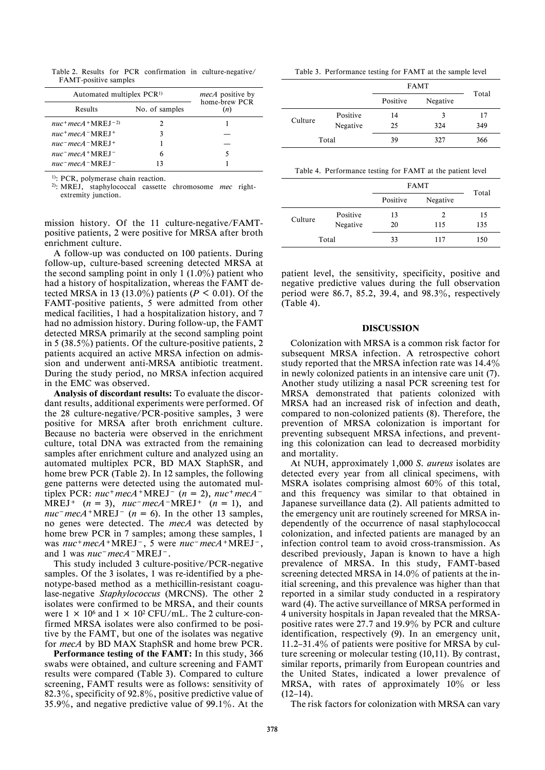Table 2. Results for PCR confirmation in culture-negative/ FAMT-positive samples

| Automated multiplex PCR <sup>1)</sup>                      |                | <i>mecA</i> positive by<br>home-brew PCR |  |
|------------------------------------------------------------|----------------|------------------------------------------|--|
| Results                                                    | No. of samples | (n)                                      |  |
| $nuc^+ mecA + MREI^{-2}$                                   |                |                                          |  |
| $nuc^+$ mec A $\Box$ NRE I $\pm$                           |                |                                          |  |
| $nuc$ <sup>-</sup> $mecA$ <sup>-</sup> $MREJ$ <sup>+</sup> |                |                                          |  |
| $nuc$ <sup>-</sup> $mecA$ <sup>+</sup> MREI <sup>-</sup>   | 6              |                                          |  |
| $nuc$ <sup>-</sup> $mecA$ -MREI-                           | 13             |                                          |  |

<sup>1)</sup>: PCR, polymerase chain reaction.

<sup>2)</sup>: MREJ, staphylococcal cassette chromosome *mec* rightextremity junction.

mission history. Of the 11 culture-negative/FAMTpositive patients, 2 were positive for MRSA after broth enrichment culture.

A follow-up was conducted on 100 patients. During follow-up, culture-based screening detected MRSA at the second sampling point in only 1  $(1.0\%)$  patient who had a history of hospitalization, whereas the FAMT detected MRSA in 13 (13.0%) patients ( $P < 0.01$ ). Of the FAMT-positive patients, 5 were admitted from other medical facilities, 1 had a hospitalization history, and 7 had no admission history. During follow-up, the FAMT detected MRSA primarily at the second sampling point in  $5(38.5\%)$  patients. Of the culture-positive patients, 2 patients acquired an active MRSA infection on admission and underwent anti-MRSA antibiotic treatment. During the study period, no MRSA infection acquired in the EMC was observed.

Analysis of discordant results: To evaluate the discordant results, additional experiments were performed. Of the 28 culture-negative/PCR-positive samples, 3 were positive for MRSA after broth enrichment culture. Because no bacteria were observed in the enrichment culture, total DNA was extracted from the remaining samples after enrichment culture and analyzed using an automated multiplex PCR, BD MAX StaphSR, and home brew PCR (Table 2). In 12 samples, the following gene patterns were detected using the automated multiplex PCR:  $nuc+mecA+MREJ-(n = 2)$ ,  $nuc+mecA-$ MREJ<sup>+</sup>  $(n = 3)$ ,  $nuc$ <sup>-</sup> $mecA$ <sup>-</sup>MREJ<sup>+</sup>  $(n = 1)$ , and nuc<sup>-</sup>mecA+MREJ<sup>-</sup> ( $n = 6$ ). In the other 13 samples, no genes were detected. The mecA was detected by home brew PCR in 7 samples; among these samples, 1 was  $nuc+mecA+MREJ^-$ , 5 were  $nuc-mecA+MREJ^-$ , and 1 was nuc<sup>-</sup>mecA<sup>-</sup>MREJ<sup>-</sup>.

This study included 3 culture-positive/PCR-negative samples. Of the 3 isolates, 1 was re-identified by a phenotype-based method as a methicillin-resistant coagulase-negative Staphylococcus (MRCNS). The other 2 isolates were confirmed to be MRSA, and their counts were  $1 \times 10^6$  and  $1 \times 10^2$  CFU/mL. The 2 culture-confirmed MRSA isolates were also confirmed to be positive by the FAMT, but one of the isolates was negative for mecA by BD MAX StaphSR and home brew PCR.

Performance testing of the FAMT: In this study, 366 swabs were obtained, and culture screening and FAMT results were compared (Table 3). Compared to culture screening, FAMT results were as follows: sensitivity of 82.3%, specificity of 92.8%, positive predictive value of 35.9%, and negative predictive value of 99.1%. At the

Table 3. Performance testing for FAMT at the sample level

|         |          | <b>FAMT</b> | Total    |     |
|---------|----------|-------------|----------|-----|
|         |          |             | Negative |     |
| Culture | Positive | 14          | 3        | 17  |
|         | Negative | 25          | 324      | 349 |
|         | Total    | 39          | 327      | 366 |

Table 4. Performance testing for FAMT at the patient level

|         |          | <b>FAMT</b> | Total                |     |  |  |
|---------|----------|-------------|----------------------|-----|--|--|
|         |          |             | Positive<br>Negative |     |  |  |
| Culture | Positive | 13          | 2                    | 15  |  |  |
|         | Negative | 20          | 115                  | 135 |  |  |
|         | Total    | 33          | 117                  | 150 |  |  |

patient level, the sensitivity, specificity, positive and negative predictive values during the full observation period were 86.7, 85.2, 39.4, and 98.3%, respectively (Table 4).

#### DISCUSSION

Colonization with MRSA is a common risk factor for subsequent MRSA infection. A retrospective cohort study reported that the MRSA infection rate was  $14.4\%$ in newly colonized patients in an intensive care unit (7). Another study utilizing a nasal PCR screening test for MRSA demonstrated that patients colonized with MRSA had an increased risk of infection and death, compared to non-colonized patients (8). Therefore, the prevention of MRSA colonization is important for preventing subsequent MRSA infections, and preventing this colonization can lead to decreased morbidity and mortality.

At NUH, approximately 1,000 S. aureus isolates are detected every year from all clinical specimens, with MSRA isolates comprising almost  $60\%$  of this total, and this frequency was similar to that obtained in Japanese surveillance data (2). All patients admitted to the emergency unit are routinely screened for MRSA independently of the occurrence of nasal staphylococcal colonization, and infected patients are managed by an infection control team to avoid cross-transmission. As described previously, Japan is known to have a high prevalence of MRSA. In this study, FAMT-based screening detected MRSA in 14.0% of patients at the initial screening, and this prevalence was higher than that reported in a similar study conducted in a respiratory ward (4). The active surveillance of MRSA performed in 4 university hospitals in Japan revealed that the MRSApositive rates were  $27.7$  and  $19.9\%$  by PCR and culture identification, respectively (9). In an emergency unit, 11.2–31.4 $\%$  of patients were positive for MRSA by culture screening or molecular testing (10,11). By contrast, similar reports, primarily from European countries and the United States, indicated a lower prevalence of MRSA, with rates of approximately  $10\%$  or less  $(12–14)$ .

The risk factors for colonization with MRSA can vary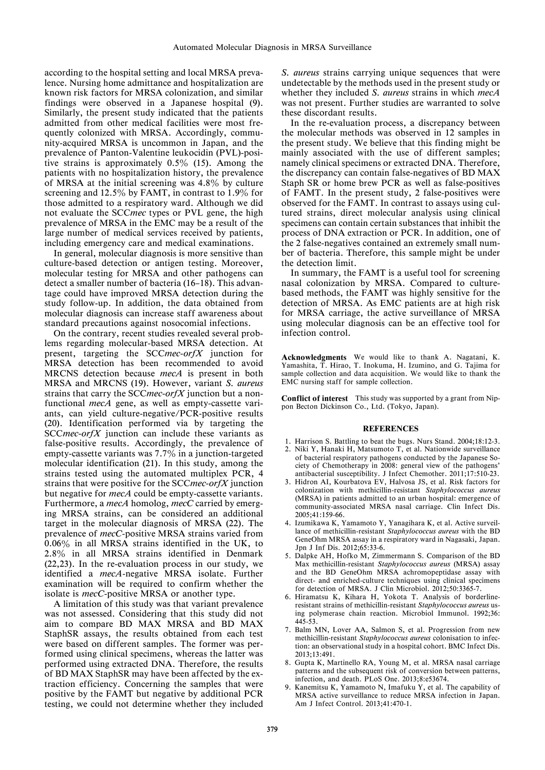according to the hospital setting and local MRSA prevalence. Nursing home admittance and hospitalization are known risk factors for MRSA colonization, and similar findings were observed in a Japanese hospital (9). Similarly, the present study indicated that the patients admitted from other medical facilities were most frequently colonized with MRSA. Accordingly, community-acquired MRSA is uncommon in Japan, and the prevalence of Panton-Valentine leukocidin (PVL)-positive strains is approximately  $0.5\%$  (15). Among the patients with no hospitalization history, the prevalence of MRSA at the initial screening was  $4.8\%$  by culture screening and 12.5% by FAMT, in contrast to 1.9% for those admitted to a respiratory ward. Although we did not evaluate the SCCmec types or PVL gene, the high prevalence of MRSA in the EMC may be a result of the large number of medical services received by patients, including emergency care and medical examinations.

In general, molecular diagnosis is more sensitive than culture-based detection or antigen testing. Moreover, molecular testing for MRSA and other pathogens can detect a smaller number of bacteria (16–18). This advantage could have improved MRSA detection during the study follow-up. In addition, the data obtained from molecular diagnosis can increase staff awareness about standard precautions against nosocomial infections.

On the contrary, recent studies revealed several problems regarding molecular-based MRSA detection. At present, targeting the SCCmec-orfX junction for MRSA detection has been recommended to avoid MRCNS detection because mecA is present in both MRSA and MRCNS (19). However, variant S. aureus strains that carry the SCCmec-orfX junction but a nonfunctional mecA gene, as well as empty-cassette variants, can yield culture-negative/PCR-positive results (20). Identification performed via by targeting the SCC *mec-orfX* junction can include these variants as false-positive results. Accordingly, the prevalence of empty-cassette variants was 7.7% in a junction-targeted molecular identification (21). In this study, among the strains tested using the automated multiplex PCR, 4 strains that were positive for the SCC mec-orf X junction but negative for mecA could be empty-cassette variants. Furthermore, a mecA homolog, mecC carried by emerging MRSA strains, can be considered an additional target in the molecular diagnosis of MRSA (22). The prevalence of mecC-positive MRSA strains varied from  $0.06\%$  in all MRSA strains identified in the UK, to 2.8% in all MRSA strains identified in Denmark (22,23). In the re-evaluation process in our study, we identified a mecA-negative MRSA isolate. Further examination will be required to confirm whether the isolate is mecC-positive MRSA or another type.

A limitation of this study was that variant prevalence was not assessed. Considering that this study did not aim to compare BD MAX MRSA and BD MAX StaphSR assays, the results obtained from each test were based on different samples. The former was performed using clinical specimens, whereas the latter was performed using extracted DNA. Therefore, the results of BD MAX StaphSR may have been affected by the extraction efficiency. Concerning the samples that were positive by the FAMT but negative by additional PCR testing, we could not determine whether they included S. aureus strains carrying unique sequences that were undetectable by the methods used in the present study or whether they included S. aureus strains in which mecA was not present. Further studies are warranted to solve these discordant results.

In the re-evaluation process, a discrepancy between the molecular methods was observed in 12 samples in the present study. We believe that this finding might be mainly associated with the use of different samples; namely clinical specimens or extracted DNA. Therefore, the discrepancy can contain false-negatives of BD MAX Staph SR or home brew PCR as well as false-positives of FAMT. In the present study, 2 false-positives were observed for the FAMT. In contrast to assays using cultured strains, direct molecular analysis using clinical specimens can contain certain substances that inhibit the process of DNA extraction or PCR. In addition, one of the 2 false-negatives contained an extremely small number of bacteria. Therefore, this sample might be under the detection limit.

In summary, the FAMT is a useful tool for screening nasal colonization by MRSA. Compared to culturebased methods, the FAMT was highly sensitive for the detection of MRSA. As EMC patients are at high risk for MRSA carriage, the active surveillance of MRSA using molecular diagnosis can be an effective tool for infection control.

Acknowledgments We would like to thank A. Nagatani. K. Yamashita, T. Hirao, T. Inokuma, H. Izumino, and G. Tajima for sample collection and data acquisition. We would like to thank the EMC nursing staff for sample collection.

Conflict of interest This study was supported by a grant from Nippon Becton Dickinson Co., Ltd. (Tokyo, Japan).

#### **REFERENCES**

- 1. Harrison S. Battling to beat the bugs. Nurs Stand. 2004;18:12-3.
- 2. Niki Y, Hanaki H, Matsumoto T, et al. Nationwide surveillance of bacterial respiratory pathogens conducted by the Japanese Society of Chemotherapy in 2008: general view of the pathogens' antibacterial susceptibility. J Infect Chemother. 2011;17:510-23.
- 3. Hidron AI, Kourbatova EV, Halvosa JS, et al. Risk factors for colonization with methicillin-resistant Staphylococcus aureus (MRSA) in patients admitted to an urban hospital: emergence of community-associated MRSA nasal carriage. Clin Infect Dis. 2005;41:159-66.
- 4. Izumikawa K, Yamamoto Y, Yanagihara K, et al. Active surveillance of methicillin-resistant Staphylococcus aureus with the BD GeneOhm MRSA assay in a respiratory ward in Nagasaki, Japan. Jpn J Inf Dis. 2012;65:33-6.
- 5. Dalpke AH, Hofko M, Zimmermann S. Comparison of the BD Max methicillin-resistant Staphylococcus aureus (MRSA) assay and the BD GeneOhm MRSA achromopeptidase assay with direct- and enriched-culture techniques using clinical specimens for detection of MRSA. J Clin Microbiol. 2012;50:3365-7.
- 6. Hiramatsu K, Kihara H, Yokota T. Analysis of borderlineresistant strains of methicillin-resistant Staphylococcus aureus using polymerase chain reaction. Microbiol Immunol. 1992;36: 445-53.
- 7. Balm MN, Lover AA, Salmon S, et al. Progression from new methicillin-resistant Staphylococcus aureus colonisation to infection: an observational study in a hospital cohort. BMC Infect Dis. 2013;13:491.
- 8. Gupta K, Martinello RA, Young M, et al. MRSA nasal carriage patterns and the subsequent risk of conversion between patterns, infection, and death. PLoS One. 2013;8:e53674.
- 9. Kanemitsu K, Yamamoto N, Imafuku Y, et al. The capability of MRSA active surveillance to reduce MRSA infection in Japan. Am J Infect Control. 2013;41:470-1.